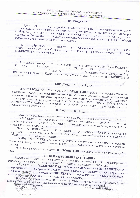### ДОГОВОР №16

Днес, 17.10.2016г., в ДГ "Дружба"-гр. Асеновград в резултат на извършени действия по разглеждане, оценка и класиране на офертите, получени при възлагане чрез събиране на оферти с обява по реда и при условията на глава двадесет и шеста от ЗОП, отразени в утвърден протокол от 10.10.2016г. от работата на комисия, назначена със заповед № 24/03.10.2016г. на възложителя, се сключи настоящия договор между:

1. ДГ "Дружба", гр. Асеновград, ул. "Съединение" №12, Булстат 000450823, представлявана от Антония Стефанова Русева - директор, наричана по-нататък в Договора

 $\overline{11}$ 

2. "Фамилекс Комерс" ООД, със седалище и адрес на управление: , ул. "Васил Петлешков"  $N<sub>21</sub>$ , EMK  $H$   $H$   $\pi$ **ЗДДС ВG** . банков код представлявано от Андон Колев -управител, наричан по-долу за краткост ИЗПЪЛНИТЕЛ за **IBAN** обслужваща банка - Прокредит банк следното:

## І. ПРЕДМЕТ НА ДОГОВОРА

Чл.1. ВЪЗЛОЖИТЕЛЯТ възлага, а ИЗПЪЛНИТЕЛЯТ приема да извършва доставка на хранителни продукти по обособена позиция III "Мляко и млечни изделия, месо и месни продукти, бакалия, замразени продукти и подправки" за нуждите на ДГ "Дружба"-Асеновград находяща се в гр. Асеновград, ул. "Съединение" №12, с база в с.Избеглии с адрес ул."Чифлика"№3 съгласно техническото и ценовото предложение на участника, които са

II. СРОКОВЕ И ЗАЯВКИ

Чл.2. Договорът се сключва за срок 1/една/ календарна година, считано от 18.10.2016 г. Чл.3. Заявяване на необходимите количества се извършва ежеседмично - 2 пъти по телефон или e-mail за позиция III, /в петък на предходната седмица и вторник/, за позиция II -

/1/ ИЗПЪЛНИТЕЛЯТ се задължава да извършва франко складовете на  $q_{J1.4.}$ ДГ"Дружба"- гр. Асеновград и в базата в с. Избеглии: за позиция III в срок не по-късно от 2 работни дни от получаване на заявката.

/2/ ВЪЗЛОЖИТЕЛЯТ е задължен да приеме и заплати само количествата и видовете хранителни продукти, които е заявил и които са доставени при условията на настоящия

Чл.5. При допълнителни заявки, ИЗПЪЛНИТЕЛЯТ доставя исканите количества до 24 часа.

## **III. ЦЕНА И УСЛОВИЯ ЗА ПРОМЯНА**

Чл.6.Цената на всяка доставка включва стойността на стоката с ДДС и транспортните разходи франко складовете на ДГ "Дружба"-гр. Асеновград и базата в с.Избеглии.

Чл.7. Цената, която ВЪЗЛОЖИТЕЛЯТ се задължава да заплаща на ИЗПЪЛНИТЕЛЯ за извършените доставки е крайната доставна единична цена с ДДС за всеки продукт, определена съобразно ценовато предолжение на ИЗПЪЛНИТЕЛЯ, неразделна част от настоящия договор, която остава непромежена за целия срок на действие на договора.

Члевсяка от страните може да направи до другата страна писмено предложение за промяна само за вид продукт, изисквания за качество и доставка и мерна единица.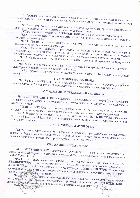/1/ Промяна на артикул във връзка с изискванията на качество и доставка се извършва в писмен вид, като едната страна изпраща писмено искане към другата, като посочва мотивите за

/2/ Промяната по ал.1 касае само опаковката и/или грамажа на артикула, като цената за килограм се запазва съгласно първоначално договорените цени.

/3/ При желание от страна на ВЪЗЛОЖИТЕЛЯ могат да се добавят нови артикули.

Чл.9. Предложението се мотивира, като се посочва вида продукт, исканата промяна и се посочват мотивите за това. Чл.10. Цената за всеки артикул се формулира съгласно условията на ценовото

предложение при сключване на договора.

чл.11. При всяко направено предложение по реда на чл.8 от страна по договора, в тридневен срок се извършва проверка от представители на двете страни и се съставя допълнително споразумение към договора, в който се отразява измененията по договора.

Чл.12. Споразумението се подписва и от двете страни и се публикува в Профила на купувача.

Чл.13. Не се допуска при никакви обстоятелства едностранна промяна по настоящия договор без спазване на процедурата по чл.8 и чл.9.

Чл.14. Промяната на условията на договора влиза в сила от 1-во число на следващия месец.

### **IV. УСЛОВИЯ НА ПЛАЩАНЕ**

Чл.15 ВЪЗЛОЖИТЕЛЯТ заплаща цената на изпълнената част от поръчката разсрочено или наведнъж, по банков път до 30 /тридесет /дни от представяне на данъчна фактура.

# V. ПРИЕМАНЕ И ПРЕДАВАНЕ НА СТОКАТА

Чл.16 /1/ ИЗПЪЛНИТЕЛЯТ се задължава при предаване на стоката да представя на домакина и касиер-домакина сертификат за произход, качество и годност от производителя за доставяните стоки.

/2/ ИЗПЪЛНИТЕЛЯТ е изпълнил задължението си за предаване на хранителните

продукти с доставянето им до заведението и подписване на доставно - складова разписка. Чл.17. В края на всеки месец или до три пъти месечно ИЗПЪЛНИТЕЛЯТ издава на името на ВЪЗЛОЖИТЕЛЯ фактура, съдържаща описание на стоката, количества, единични

## **VI.ОПАКОВКА И МАРКИРОВКА**

Чл.18. Хранителните продукти, които ще се доставят, при изпълнение на поръчката, трябва да бъдат с маркировка за годност и дата на производство, етикирани и опаковани по надлежния ред и придружени със сертификат за съответствие /годност/.

## **VII. ГАРАНЦИИ И КАЧЕСТВО**

Чл.19. ИЗПЪЛНИТЕЛЯТ гарантира, че доставените от него стоки съответстват на представените сертификати за качество, произход и годност и са в съответствие с изискванията на ВЪЗЛОЖИТЕЛЯ.

Чл.20. При получаване на продукти, не съответстващи на изискванията на ВЪЗЛОЖИТЕЛЯ към момента на доставката, се съставя констативен протокол от ВЪЗЛОЖИТЕЛЯ, който се подписва от двете страни, като ИЗПЪЛНИТЕЛЯТ се задължава да замени за негова сметка със съответното качество и количество продукти в срок от 1 (един)

Чл.21 уПри констатиране на продукти, не съответстващи на изискванията след момента достраната, ее средавя констативен протокол, подписан от длъжностного дице отговорно за получаване на стоката и медицинско лице **ВЪЗЛОЖИТЕЛЯ** 

 $H_{\nu}$ dian

*Harriga*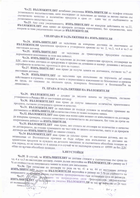Чл.22. ВЪЗЛОЖИТЕЛЯТ незабавно уведомява ИЗПЪЛНИТЕЛЯ по телефон относно установеното несъответствие, като последният се задължава да замени за негова сметка със съответното качество и количество продукти в срок от един час от съобщението за

Чл.23. Ако след уведомяването, ИЗПЪЛНИТЕЛЯТ не извърши действията по чл.22, ВЪЗЛОЖИТЕЛЯТ има право да прекрати договора едностранно, без предизвестие, като изпрати за това уведомително писмо до ВЪЗЛОЖИТЕЛЯ.

# **VIII.ПРАВА И ЗАДЪЛЖЕНИЯ НА ИЗПЪЛНИТЕЛЯ**

Чл.24. ИЗПЪЛНИТЕЛЯТ се задължава да извършва доставка на посочените от ВЪЗЛОЖИТЕЛЯ хранителни продукти в уговорените срокове по чл. 2, чл.3, чл.4 и чл.5 от

Чл.25. ИЗПЪЛНИТЕЛЯТ се задължава да транспортира продуктите съгласно нормативните изисквания за този вид дейност.

Чл.26. ИЗПЪЛНИТЕЛЯТ се задължава да доставя хранителни продукти, отговарящи на БДС, като всяка доставка се придружава и предава на домакина и касиер-домакина с актуални сертификати за качество, произход и срок на годност.

Чл.27. ИЗПЪЛНИТЕЛЯТ има право да получи цената на доставката, съгласно чл.7 от настоящия договор.

Чл.28. ИЗПЪЛНИТЕЛЯТ се задължава при изпълнение на поръчката да спазва действащите в страната стандарти, както и нормативните изисквания по безопасност и хигиена на труда, по опазване на околната среда, пожарната безопасност и безопасността на

# IX. ПРАВА И ЗАДЪЛЖЕНИЯ НА ВЪЗЛОЖИТЕЛЯ

Чл.29. ВЪЗЛОЖИТЕЛЯТ е длъжен да заплати цената на доставката, съгласно уговореното в Раздел III от настоящия договор.

Чл.30. ВЪЗЛОЖИТЕЛЯТ има право да получи заявените количества хранителните продукти, съгласно уговорените срокове и качество.

Чл.31. ВЪЗЛОЖИТЕЛЯТ се задължава да създаде условия за незабавно приемане на доставените от ИЗПЪЛНИТЕЛЯ количества стоки по всяка подадена заявка.

Чл.32. ВЪЗЛОЖИТЕЛЯТ има право във всеки един момент от изпълнението на договора да извършва проверка, относно качеството и количеството на доставките, без това да пречи на оперативната дейност на ИЗПЪЛНИТЕЛЯ.

Чл.33. ВЪЗЛОЖИТЕЛЯТ има право, ако стоката не отговаря по количество и качество на договореното, да откаже приемането на част или на цялото количество, както и да прекрати договора ако ИЗПЪЛНИТЕЛЯТ не замени стоката.

Чл.34 ВЪЗЛОЖИТЕЛЯТ има право да удължи срока от настоящия договор, ако по независещи от Възложителя причини не бъде избран нов изпълнител за доставка на хранителни продукти за нуждите на детското заведение за съответната обособена позиция за нов период, но не повече от 6 месеца и в случай че не надхвърля сумата от 69999 лв без ДДС общо по всички обособени позиции.

### **Х.НЕУСТОЙКИ**

Чл.35. В случай, че ИЗПЪЛНИТЕЛЯТ не достави стоките в съответствие със срока по чл. 4 и чл.5 на настоящия договор, същия дължи неустойка на ВЪЗЛОЖИТЕЛЯ в размер на 5 % от стойността на направената заявка за всеки ден закъснение.

Чл.36. При разваляне на договора по реда на чл. 41 и чл. 44 от настоящия договор

ИЗПЪЛНИТЕЛЯТ дъджи на ВЪЗЛОЖИТЕЛЯ неустойка в размер на 5 % от стойността на направените до момента захвки, съотнесена пропорционално към оставащия срок на договора. Чл.37. ДУ При възникване на непреодолима сила /форсмажорни обстоятелства/ ИЗПЪЛНИТЕЛЯТ се заладжава да уведоми ВЪЗЛОЖИТЕЛЯ за тях не поскрсно от 24 часа Подпис и плину aus professor

Hoon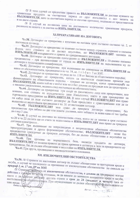/2/ В този случай се предоставя правото на ВЪЗЛОЖИТЕЛЯ да достави нужните му хранителни продукти за съответния период от друг изпълнител с цел защита на ВЪЗЛОЖИТЕЛЯ, като за съответния период се изготви протокол, подписан от представители

/3/ В случай на по-висока цена на доставеното количество хранителни продукти, разликата на цената е за сметка на ИЗПЪЛНИТЕЛЯ.

### ХІ. ПРЕКРАТЯВАНЕ НА ДОГОВОРА  $\mathbb{R}^n$

Чл.38. Договорът се прекратява с изтичане на неговия срок съгласно съгласно чл. 2, от настоящия договор; Чл.39. Договорът се прекратява по взаимно съгласие между страните, изразено в писмена

форма, като страните не си дължат неустойки, но ВЪЗЛОЖИТЕЛЯТ заплаща на ИЗПЪЛНИТЕЛЯ извършените и приети до прекратяването доставки; Чл.40. Договорът се прекратява едностранно от ВЪЗЛОЖИТЕЛЯ с 10-дневно писмено

предизвестие - при неизпълнение от страна на ИЗПЪЛНИТЕЛЯ на задълженията му по договора и техническата спецификация;

Чл.41. Договорът се прекратява при възникване по отношение на ИЗПЪЛНИТЕЛЯ на някое от обстоятелствата, предвидени в по чл. 54, ал. 1 т 1-5 и т. 7 от ЗОП.

Чл.42. Договорът се прекратява по реда на чл. 118 от Закона за обществените поръчки; Чл.43. Договорът се прекратява, когато са настъпили съществени промени във финансирането на обществената поръчка - предмет на договора, извън правомощията на

ВЪЗЛОЖИТЕЛЯ, които той не е могъл или не е бил длъжен да предвиди или да предотврати с писмено уведомление, веднага след настъпване на обстоятелствата;

Чл.44. Договорът се прекратява при смърт на физическото лице или прекратяване, или вливане, или сливане на юридическото лице Изпълнител, както и при прехвърляне на търговското предприятие на ИЗПЪЛНИТЕЛЯ. В този случай ВЪЗЛОЖИТЕЛЯТ има право на избор дали да даде съгласие договорът да бъде продължен с правоприемник или да се възползва от неустойката предвидена в чл. 36 от настоящия договор. Чл.45. ВЪЗЛОЖИТЕЛЯТ има право да прекрати договора едностранно, без

предизвестие при забава на две или повече доставки, като забавата за всяка една от тях трябва

Чл.46. В случай на доставка на некачествена стока, която не се замени в срок съгласно чл.20 и чл.22 същата ще се счита за недоставена и ИЗПЪЛНИТЕЛЯТ има право да прекрати договора едностранно.

Чл.47. При възникване на непредвидими и непреодолими обективни обстоятелства преструктуриране и други форсмажорни обстоятелства/, ВЪЗЛОЖИТЕЛЯТ предизвестие предсрочно да прекрати договора, без да дължи обезщетения и неустойки на

Чл.48. При промяна на нормативната база, касаеща предмета на договора, ВЪЗЛОЖИТЕЛЯТ си запазва правото да прави промени в договора и /или за предсрочното му прекратяване, без да дължи обезщетение и неустойки на ИЗПЪЛНИТЕЛЯ.

Чл.49. При други, предвидени в законодателството основания.

# ХІІ. ИЗКЛЮЧИТЕЛНИ ОБСТОЯТЕЛСТВА

Чл.50. /1/ Страните по настоящия договор не дължат обезщетение за претърпени вреди и загуби, в случай че последните са причинени от изключителни обстоятелства по смисъла на

12/ Страната засегната от изключителни обстоятелства, е длъжна да предприеме всички действия с грижата на добър стопанин, за да намали до минимум понесените вреди и загуби, както и да хведоми нисменр другата страна в срок до 24 (двадесет и четири) часа от настъпването на обсубятелетвата. При неуведомяване се дължи обезщето не однастъпилите от това вреди. Подпис и печат на Възпознаниели